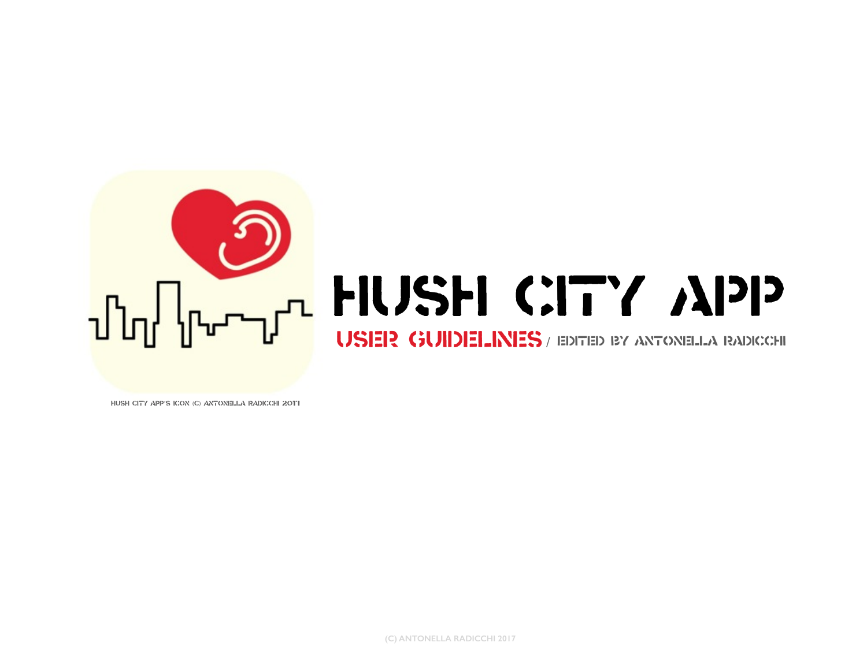

## Tulled HUSH CITY APP

USER GUIDELINES / EDITED BY ANTONELLA RADICCHI

Hush City app's icon (C) Antonella Radicchi 2017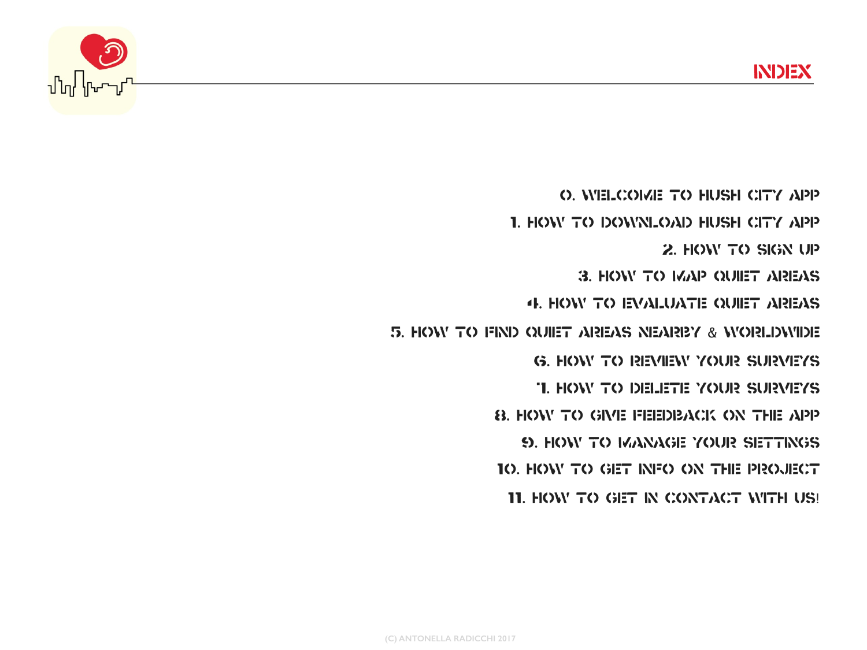

0. Welcome to Hush City app 1. HOW TO DOWNLOAD HUSH CITY APP 2. HOW TO SIGN UP 3. How to map quiet areas 4. How to evaluate quiet areas 5. How to find quiet areas nearby & worldwide **G. HOW TO REVIEW YOUR SURVEYS** 7. How to delete your surveys 8. HOW TO GIVE FEEDBACK ON THE APP 9. How to MANAGE your settings 10. How to get INFO ON THE PROJECT 11. HOW TO GET IN CONTACT WITH US!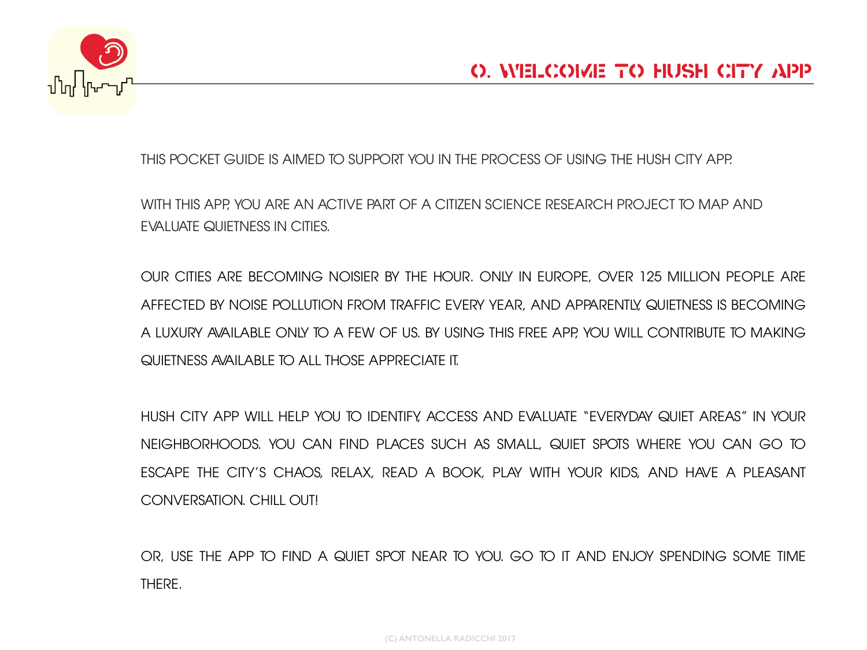

THIS POCKET GUIDE IS AIMED TO SUPPORT YOU IN THE PROCESS OF USING THE HUSH CITY APP.

WITH THIS APP, YOU ARE AN ACTIVE PART OF A CITIZEN SCIENCE RESEARCH PROJECT TO MAP AND EVALUATE QUIETNESS IN CITIES.

OUR CITIES ARE BECOMING NOISIER BY THE HOUR. ONLY IN EUROPE, OVER 125 MILLION PEOPLE ARE AFFECTED BY NOISE POLLUTION FROM TRAFFIC EVERY YEAR, AND APPARENTLY, QUIETNESS IS BECOMING A LUXURY AVAILABLE ONLY TO A FEW OF US. BY USING THIS FREE APP, YOU WILL CONTRIBUTE TO MAKING QUIETNESS AVAILABLE TO ALL THOSE APPRECIATE IT.

HUSH CITY APP WILL HELP YOU TO IDENTIFY, ACCESS AND EVALUATE "EVERYDAY QUIET AREAS" IN YOUR NEIGHBORHOODS. YOU CAN FIND PLACES SUCH AS SMALL, QUIET SPOTS WHERE YOU CAN GO TO ESCAPE THE CITY'S CHAOS, RELAX, READ A BOOK, PLAY WITH YOUR KIDS, AND HAVE A PLEASANT CONVERSATION. CHILL OUT!

OR, USE THE APP TO FIND A QUIET SPOT NEAR TO YOU. GO TO IT AND ENJOY SPENDING SOME TIME THERE.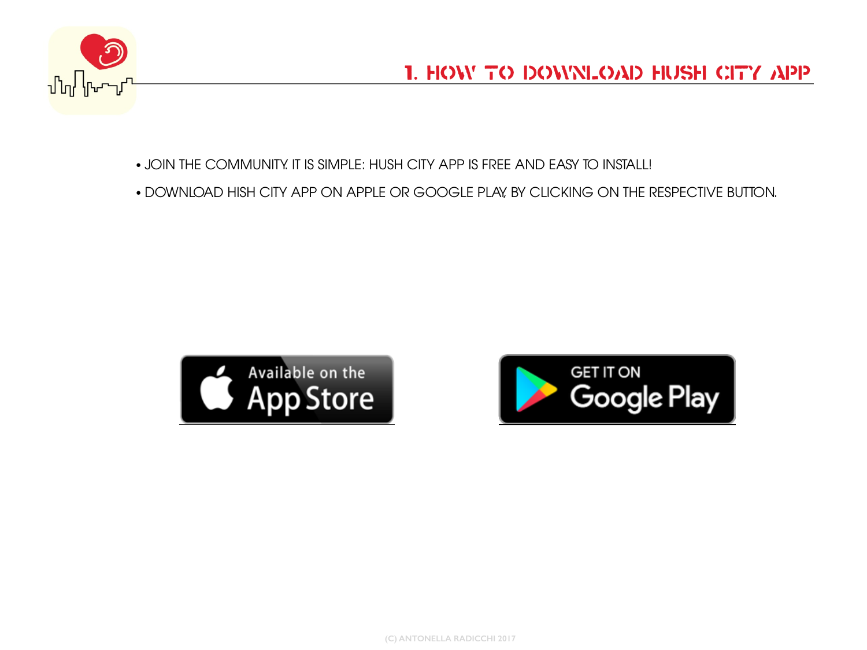

- JOIN THE COMMUNITY. IT IS SIMPLE: HUSH CITY APP IS FREE AND EASY TO INSTALL!
- DOWNLOAD HISH CITY APP ON APPLE OR GOOGLE PLAY, BY CLICKING ON THE RESPECTIVE BUTTON.



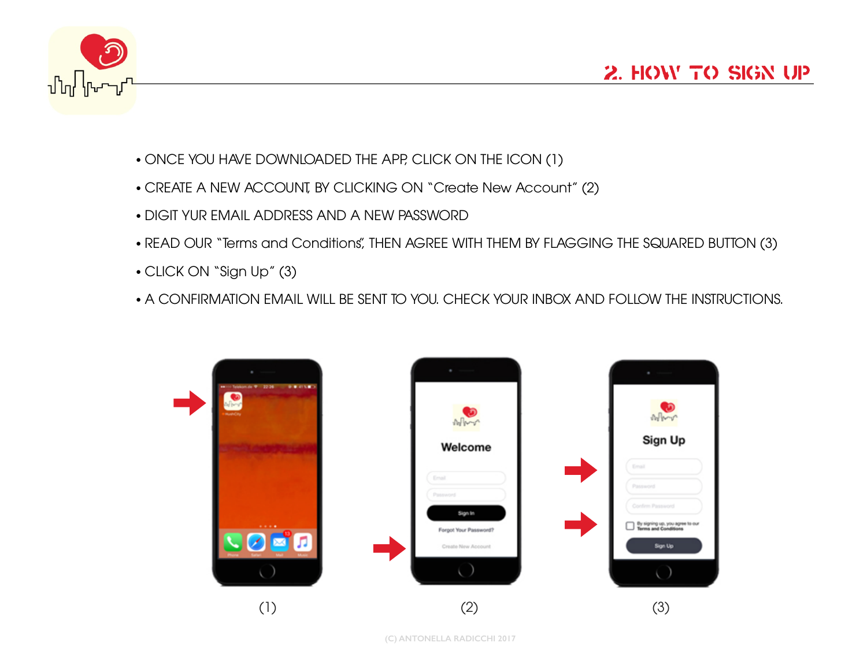

- ONCE YOU HAVE DOWNLOADED THE APP, CLICK ON THE ICON (1)
- CREATE A NEW ACCOUNT, BY CLICKING ON "Create New Account" (2)
- DIGIT YUR EMAIL ADDRESS AND A NEW PASSWORD
- READ OUR "Terms and Conditions", THEN AGREE WITH THEM BY FLAGGING THE SQUARED BUTTON (3)
- CLICK ON "Sign Up" (3)
- A CONFIRMATION EMAIL WILL BE SENT TO YOU. CHECK YOUR INBOX AND FOLLOW THE INSTRUCTIONS.

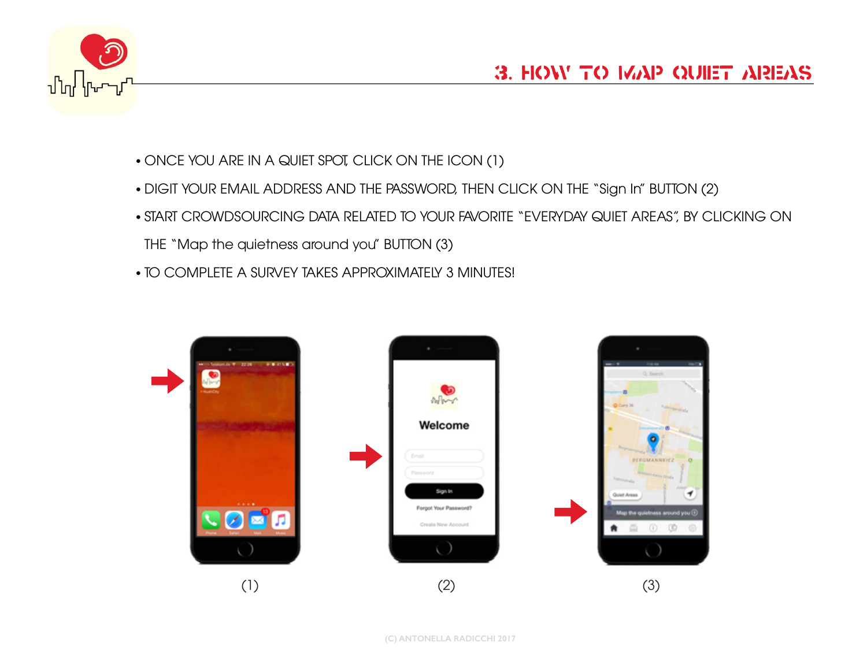

- ONCE YOU ARE IN A QUIET SPOT, CLICK ON THE ICON (1)
- DIGIT YOUR EMAIL ADDRESS AND THE PASSWORD, THEN CLICK ON THE "Sign In" BUTTON (2)
- START CROWDSOURCING DATA RELATED TO YOUR FAVORITE "EVERYDAY QUIET AREAS", BY CLICKING ON THE "Map the quietness around you" BUTTON (3)
- TO COMPLETE A SURVEY TAKES APPROXIMATELY 3 MINUTES!

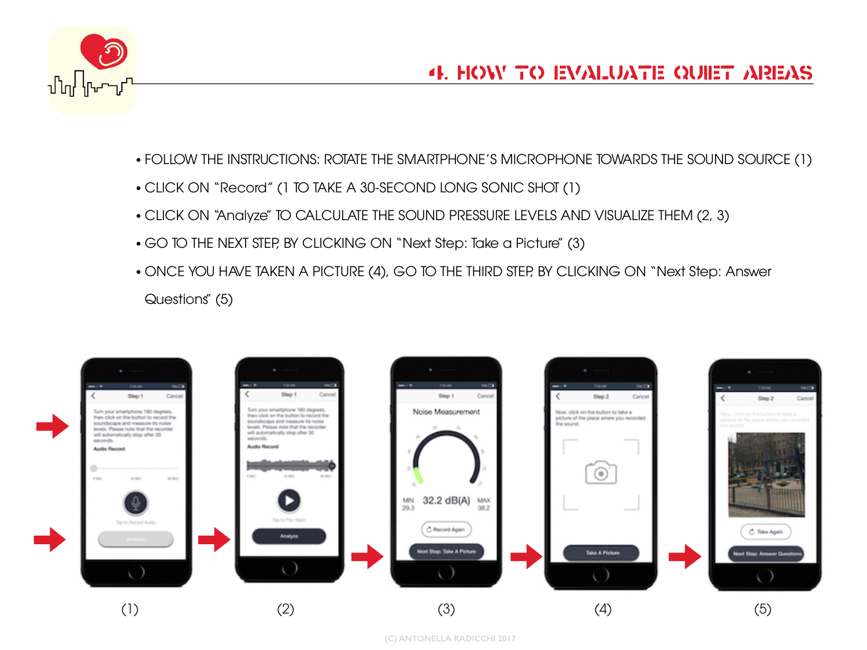

- FOLLOW THE INSTRUCTIONS: ROTATE THE SMARTPHONE'S MICROPHONE TOWARDS THE SOUND SOURCE (1)
- CLICK ON "Record" (1 TO TAKE A 30-SECOND LONG SONIC SHOT (1)
- CLICK ON "Analyze" TO CALCULATE THE SOUND PRESSURE LEVELS AND VISUALIZE THEM (2, 3)
- GO TO THE NEXT STEP, BY CLICKING ON "Next Step: Take a Picture" (3)
- ONCE YOU HAVE TAKEN A PICTURE (4), GO TO THE THIRD STEP, BY CLICKING ON "Next Step: Answer Questions" (5)

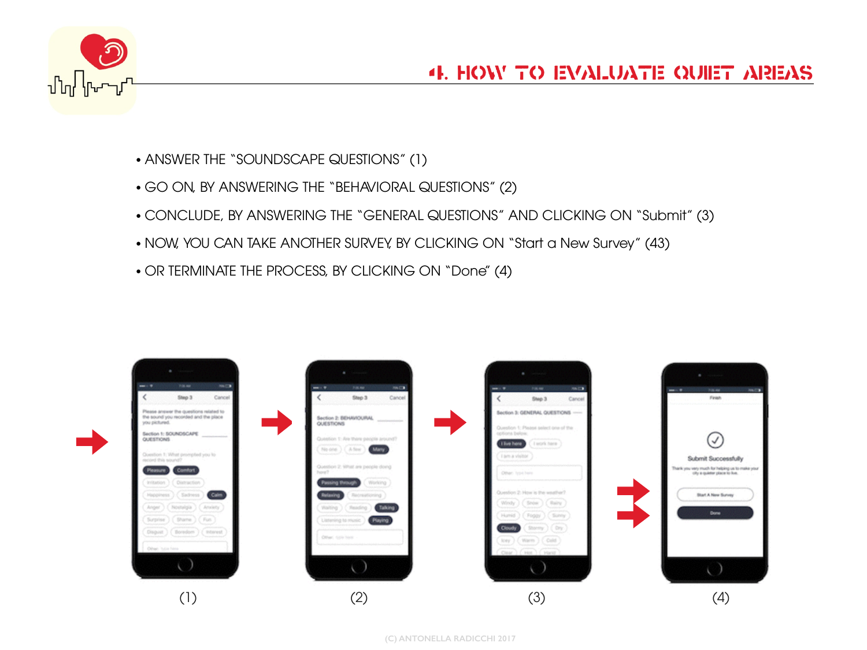

- ANSWER THE "SOUNDSCAPE QUESTIONS" (1)
- GO ON, BY ANSWERING THE "BEHAVIORAL QUESTIONS" (2)
- CONCLUDE, BY ANSWERING THE "GENERAL QUESTIONS" AND CLICKING ON "Submit" (3)
- NOW, YOU CAN TAKE ANOTHER SURVEY, BY CLICKING ON "Start a New Survey" (43)
- OR TERMINATE THE PROCESS, BY CLICKING ON "Done" (4)

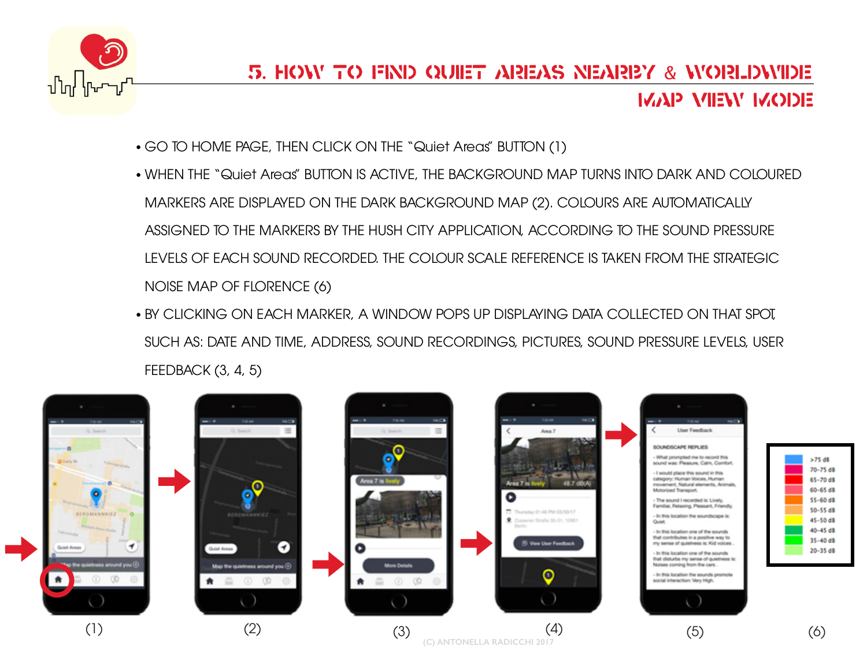

- GO TO HOME PAGE, THEN CLICK ON THE "Quiet Areas" BUTTON (1)
- WHEN THE "Quiet Areas" BUTTON IS ACTIVE, THE BACKGROUND MAP TURNS INTO DARK AND COLOURED MARKERS ARE DISPLAYED ON THE DARK BACKGROUND MAP (2). COLOURS ARE AUTOMATICALLY ASSIGNED TO THE MARKERS BY THE HUSH CITY APPLICATION, ACCORDING TO THE SOUND PRESSURE LEVELS OF EACH SOUND RECORDED. THE COLOUR SCALE REFERENCE IS TAKEN FROM THE STRATEGIC NOISE MAP OF FLORENCE (6)
- BY CLICKING ON EACH MARKER, A WINDOW POPS UP DISPLAYING DATA COLLECTED ON THAT SPOT, SUCH AS: DATE AND TIME, ADDRESS, SOUND RECORDINGS, PICTURES, SOUND PRESSURE LEVELS, USER FEEDBACK (3, 4, 5)

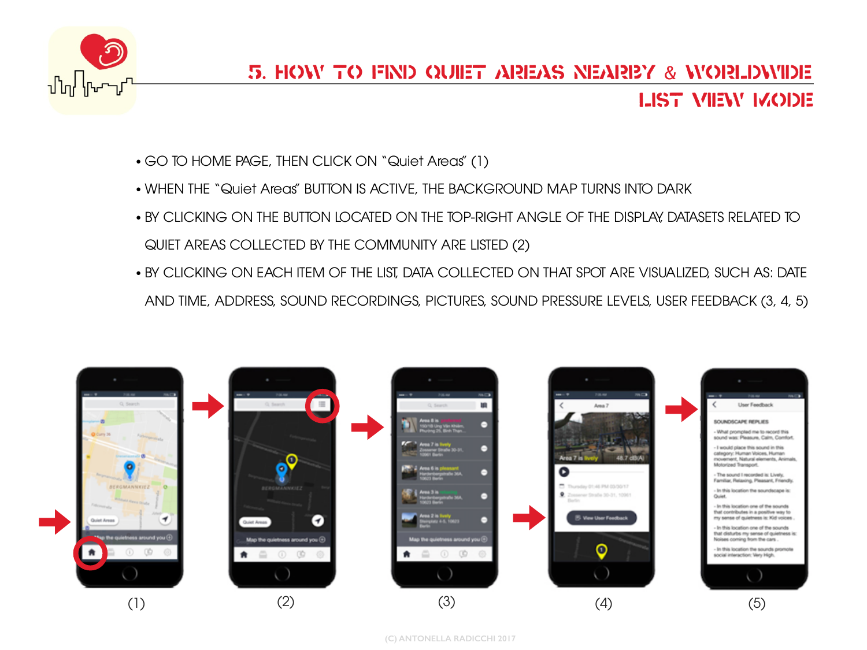

- GO TO HOME PAGE, THEN CLICK ON "Quiet Areas" (1)
- WHEN THE "Quiet Areas" BUTTON IS ACTIVE, THE BACKGROUND MAP TURNS INTO DARK
- BY CLICKING ON THE BUTTON LOCATED ON THE TOP-RIGHT ANGLE OF THE DISPLAY, DATASETS RELATED TO QUIET AREAS COLLECTED BY THE COMMUNITY ARE LISTED (2)
- BY CLICKING ON EACH ITEM OF THE LIST, DATA COLLECTED ON THAT SPOT ARE VISUALIZED, SUCH AS: DATE AND TIME, ADDRESS, SOUND RECORDINGS, PICTURES, SOUND PRESSURE LEVELS, USER FEEDBACK (3, 4, 5)

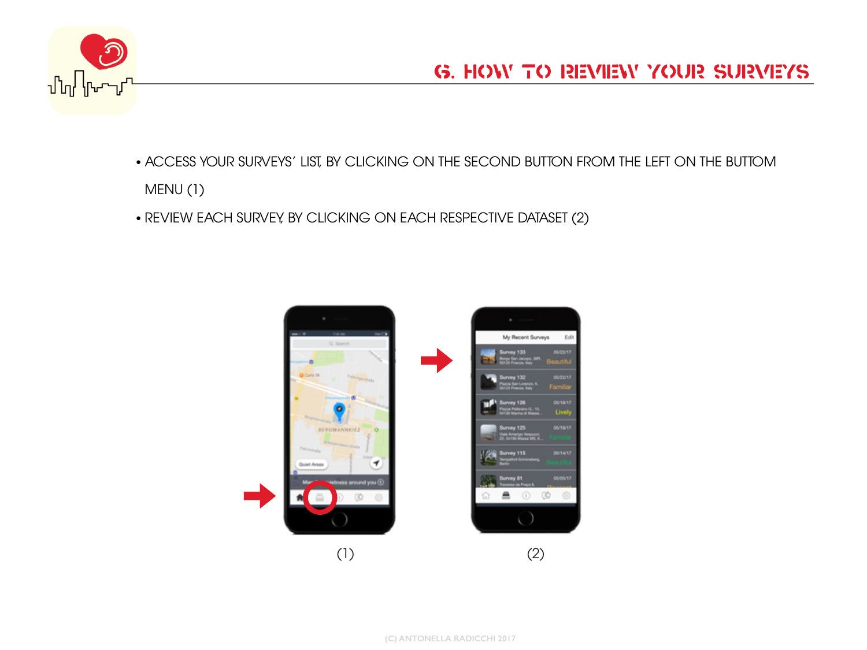

- ACCESS YOUR SURVEYS' LIST, BY CLICKING ON THE SECOND BUTTON FROM THE LEFT ON THE BUTTOM MENU (1)
- REVIEW EACH SURVEY, BY CLICKING ON EACH RESPECTIVE DATASET (2)

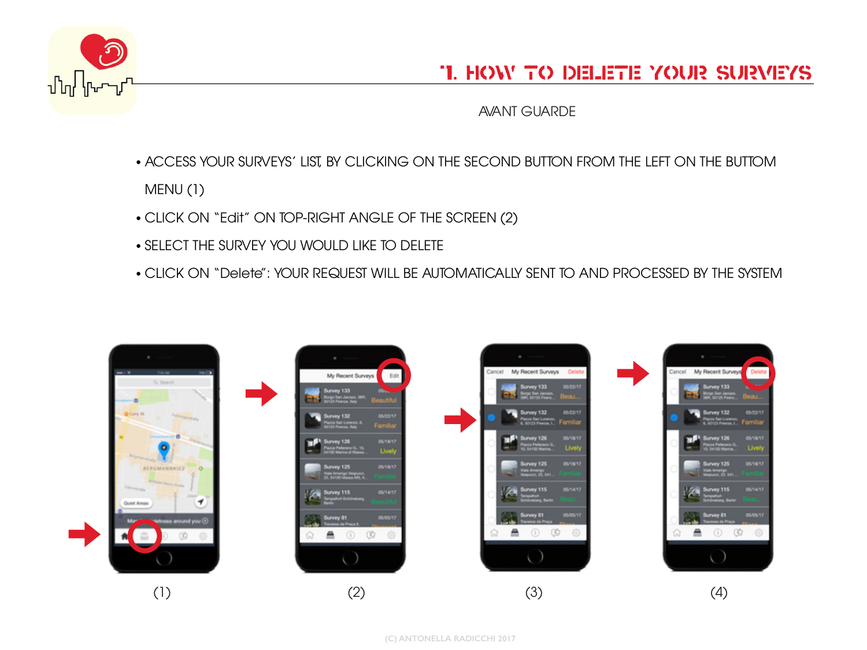

## 7. How to delete your surveys

AVANT GUARDE

- ACCESS YOUR SURVEYS' LIST, BY CLICKING ON THE SECOND BUTTON FROM THE LEFT ON THE BUTTOM MENU (1)
- CLICK ON "Edit" ON TOP-RIGHT ANGLE OF THE SCREEN (2)
- SELECT THE SURVEY YOU WOULD LIKE TO DELETE
- CLICK ON "Delete": YOUR REQUEST WILL BE AUTOMATICALLY SENT TO AND PROCESSED BY THE SYSTEM

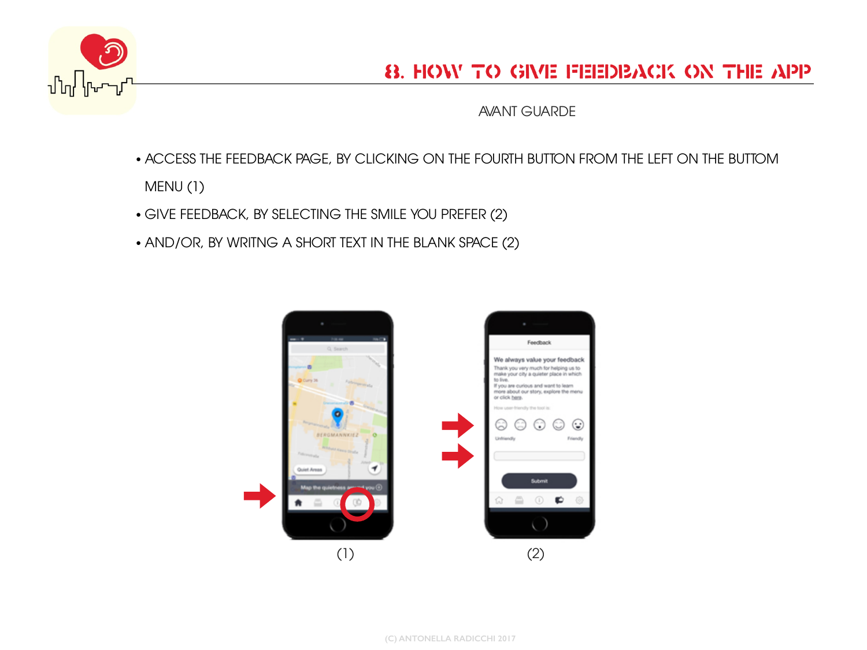

AVANT GUARDE

- ACCESS THE FEEDBACK PAGE, BY CLICKING ON THE FOURTH BUTTON FROM THE LEFT ON THE BUTTOM MENU (1)
- GIVE FEEDBACK, BY SELECTING THE SMILE YOU PREFER (2)
- AND/OR, BY WRITNG A SHORT TEXT IN THE BLANK SPACE (2)

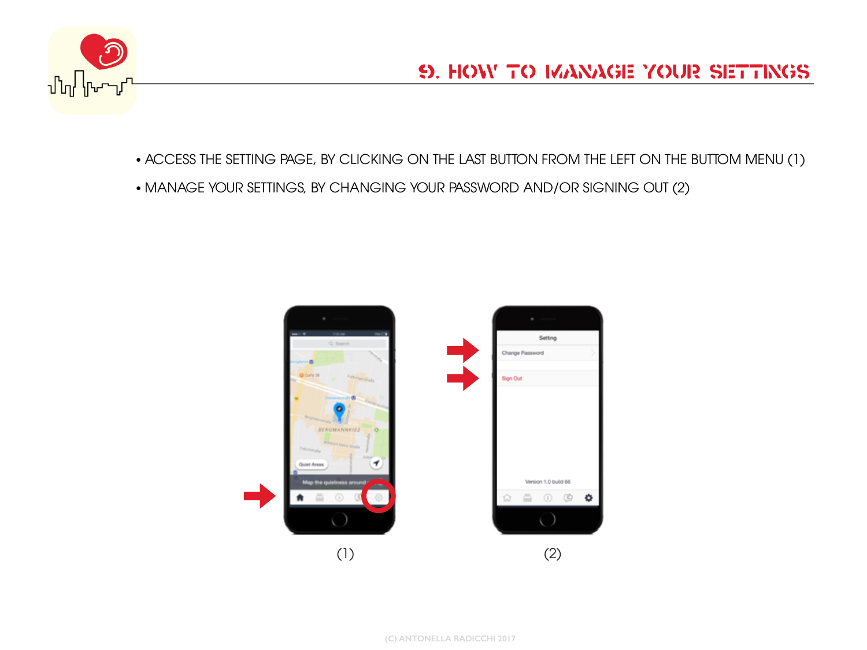

• ACCESS THE SETTING PAGE, BY CLICKING ON THE LAST BUTTON FROM THE LEFT ON THE BUTTOM MENU (1)

• MANAGE YOUR SETTINGS, BY CHANGING YOUR PASSWORD AND/OR SIGNING OUT (2)

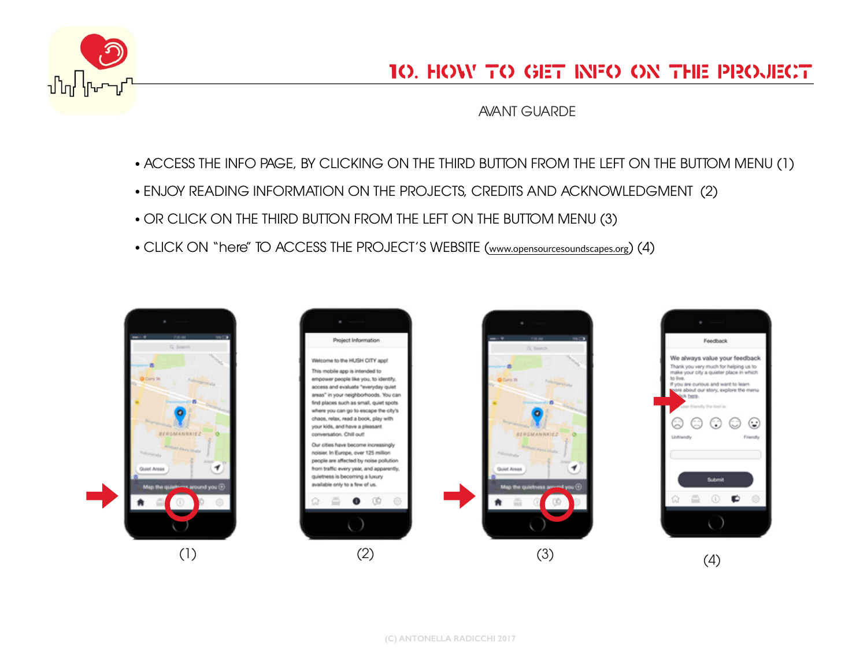

AVANT GUARDE

- ACCESS THE INFO PAGE, BY CLICKING ON THE THIRD BUTTON FROM THE LEFT ON THE BUTTOM MENU (1)
- ENJOY READING INFORMATION ON THE PROJECTS, CREDITS AND ACKNOWLEDGMENT (2)
- OR CLICK ON THE THIRD BUTTON FROM THE LEFT ON THE BUTTOM MENU (3)
- CLICK ON "here" TO ACCESS THE PROJECT'S WEBSITE ([www.opensourcesoundscapes.org](http://www.opensourcesoundscapes.org)) (4)

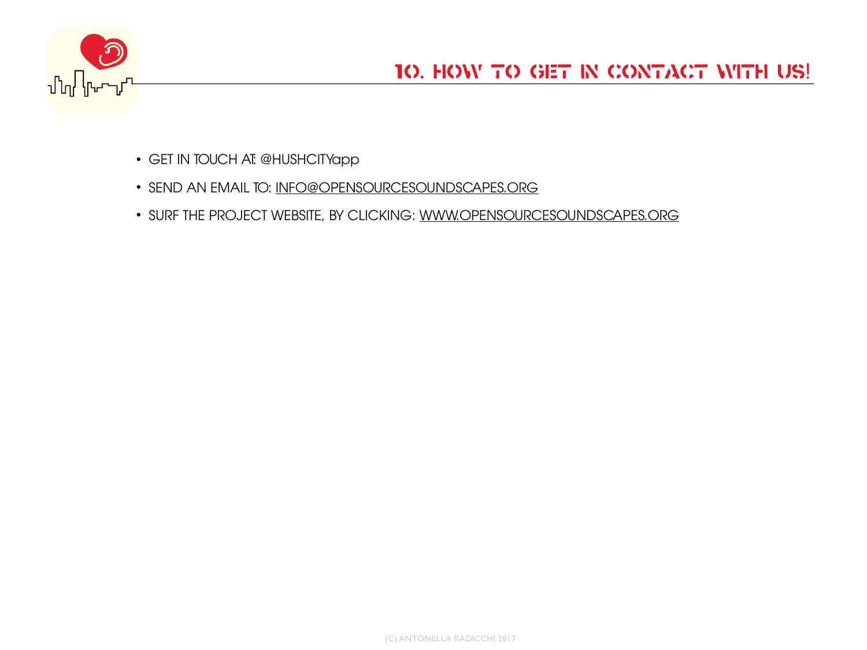

- GET IN TOUCH AT: @HUSHCITYapp
- SEND AN EMAIL TO: [INFO@OPENSOURCESOUNDSCAPES.ORG](mailto:INFO@OPENSOURCESOUNDSCAPES.ORG)
- SURF THE PROJECT WEBSITE, BY CLICKING: [WWW.OPENSOURCESOUNDSCAPES.ORG](http://WWW.OPENSOURCESOUNDSCAPES.ORG)